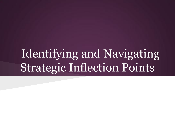### Identifying and Navigating Strategic Inflection Points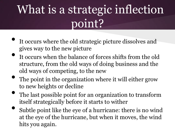# What is a strategic inflection point?

- It occurs where the old strategic picture dissolves and gives way to the new picture
- It occurs when the balance of forces shifts from the old structure, from the old ways of doing business and the old ways of competing, to the new
- The point in the organization where it will either grow to new heights or decline
- The last possible point for an organization to transform itself strategically before it starts to wither
- Subtle point like the eye of a hurricane: there is no wind at the eye of the hurricane, but when it moves, the wind hits you again.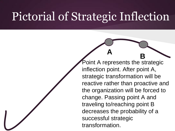#### Pictorial of Strategic Inflection

**B** Point A represents the strategic inflection point. After point A, strategic transformation will be reactive rather than proactive and the organization will be forced to change. Passing point A and traveling to/reaching point B decreases the probability of a successful strategic transformation.

**A**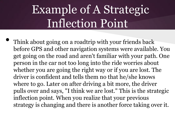# Example of A Strategic Inflection Point

Think about going on a roadtrip with your friends back before GPS and other navigation systems were available. You get going on the road and aren't familiar with your path. One person in the car not too long into the ride worries about whether you are going the right way or if you are lost. The driver is confident and tells them no that he/she knows where to go. Later on after driving a bit more, the driver pulls over and says, "I think we are lost." This is the strategic inflection point. When you realize that your previous strategy is changing and there is another force taking over it.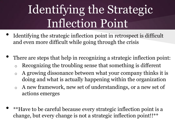# Identifying the Strategic Inflection Point

- Identifying the strategic inflection point in retrospect is difficult and even more difficult while going through the crisis
- There are steps that help in recognizing a strategic inflection point:
	- Recognizing the troubling sense that something is different
	- o A growing dissonance between what your company thinks it is doing and what is actually happening within the organization
	- o A new framework, new set of understandings, or a new set of actions emerges
- \*\*Have to be careful because every strategic inflection point is a change, but every change is not a strategic inflection point!!\*\*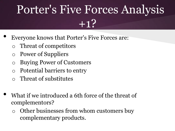# Porter's Five Forces Analysis  $+1?$

- Everyone knows that Porter's Five Forces are:
	- o Threat of competitors
	- o Power of Suppliers
	- o Buying Power of Customers
	- o Potential barriers to entry
	- Threat of substitutes
- What if we introduced a 6th force of the threat of complementors?
	- o Other businesses from whom customers buy complementary products.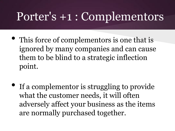#### Porter's +1 : Complementors

- This force of complementors is one that is ignored by many companies and can cause them to be blind to a strategic inflection point.
- If a complementor is struggling to provide what the customer needs, it will often adversely affect your business as the items are normally purchased together.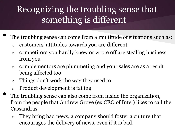#### Recognizing the troubling sense that something is different

- The troubling sense can come from a multitude of situations such as:
	- o customers' attitudes towards you are different
	- o competitors you hardly knew or wrote off are stealing business from you
	- o complementors are plummeting and your sales are as a result being affected too
	- o Things don't work the way they used to
	- o Product development is failing
	- The troubling sense can also come from inside the organization, from the people that Andrew Grove (ex CEO of Intel) likes to call the Cassandras
		- o They bring bad news, a company should foster a culture that encourages the delivery of news, even if it is bad.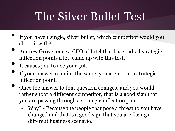### The Silver Bullet Test

- If you have 1 single, silver bullet, which competitor would you shoot it with?
- Andrew Grove, once a CEO of Intel that has studied strategic inflection points a lot, came up with this test.
- It causes you to use your gut.
- If your answer remains the same, you are not at a strategic inflection point.
- Once the answer to that question changes, and you would rather shoot a different competitor, that is a good sign that you are passing through a strategic inflection point.
	- o Why? Because the people that pose a threat to you have changed and that is a good sign that you are facing a different business scenario.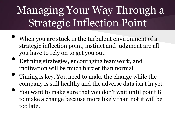#### Managing Your Way Through a Strategic Inflection Point

- When you are stuck in the turbulent environment of a strategic inflection point, instinct and judgment are all you have to rely on to get you out.
- Defining strategies, encouraging teamwork, and motivation will be much harder than normal
- Timing is key. You need to make the change while the company is still healthy and the adverse data isn't in yet.
- You want to make sure that you don't wait until point B to make a change because more likely than not it will be too late.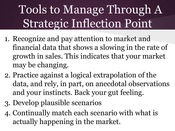# Tools to Manage Through A Strategic Inflection Point

- 1. Recognize and pay attention to market and financial data that shows a slowing in the rate of growth in sales. This indicates that your market may be changing.
- 2. Practice against a logical extrapolation of the data, and rely, in part, on anecdotal observations and your instincts. Back your gut feeling.
- 3. Develop plausible scenarios
- 4. Continually match each scenario with what is actually happening in the market.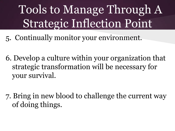# Tools to Manage Through A Strategic Inflection Point

- 5. Continually monitor your environment.
- 6. Develop a culture within your organization that strategic transformation will be necessary for your survival.
- 7. Bring in new blood to challenge the current way of doing things.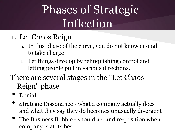# Phases of Strategic Inflection

- 1. Let Chaos Reign
	- a. In this phase of the curve, you do not know enough to take charge
	- b. Let things develop by relinquishing control and letting people pull in various directions.
- There are several stages in the "Let Chaos Reign" phase
	- Denial
	- Strategic Dissonance what a company actually does and what they say they do becomes unusually divergent
	- The Business Bubble should act and re-position when company is at its best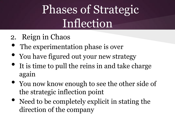# Phases of Strategic Inflection

- 2. Reign in Chaos
- The experimentation phase is over
- You have figured out your new strategy
- It is time to pull the reins in and take charge again
- You now know enough to see the other side of the strategic inflection point
- Need to be completely explicit in stating the direction of the company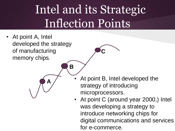# Intel and its Strategic Inflection Points

**C**

• At point A, Intel developed the strategy of manufacturing memory chips.

**A**

**B**

At point B, Intel developed the strategy of introducing microprocessors.

• At point C (around year 2000,) Intel was developing a strategy to introduce networking chips for digital communications and services for e-commerce.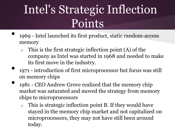# Intel's Strategic Inflection Points

- 1969 Intel launched its first product, static random-access memory
	- This is the first strategic inflection point  $(A)$  of the company as Intel was started in 1968 and needed to make its first move in the industry.
	- 1971 introduction of first microprocessor but focus was still on memory chips
- 1981 CEO Andrew Grove realized that the memory chip market was saturated and moved the strategy from memory chips to microprocessors
	- $\circ$  This is strategic inflection point B. If they would have stayed in the memory chip market and not capitalized on microprocessors, they may not have still been around today.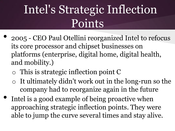# Intel's Strategic Inflection Points

- 2005 CEO Paul Otellini reorganized Intel to refocus its core processor and chipset businesses on platforms (enterprise, digital home, digital health, and mobility.)
	- o This is strategic inflection point C
	- o It ultimately didn't work out in the long-run so the company had to reorganize again in the future
- Intel is a good example of being proactive when approaching strategic inflection points. They were able to jump the curve several times and stay alive.